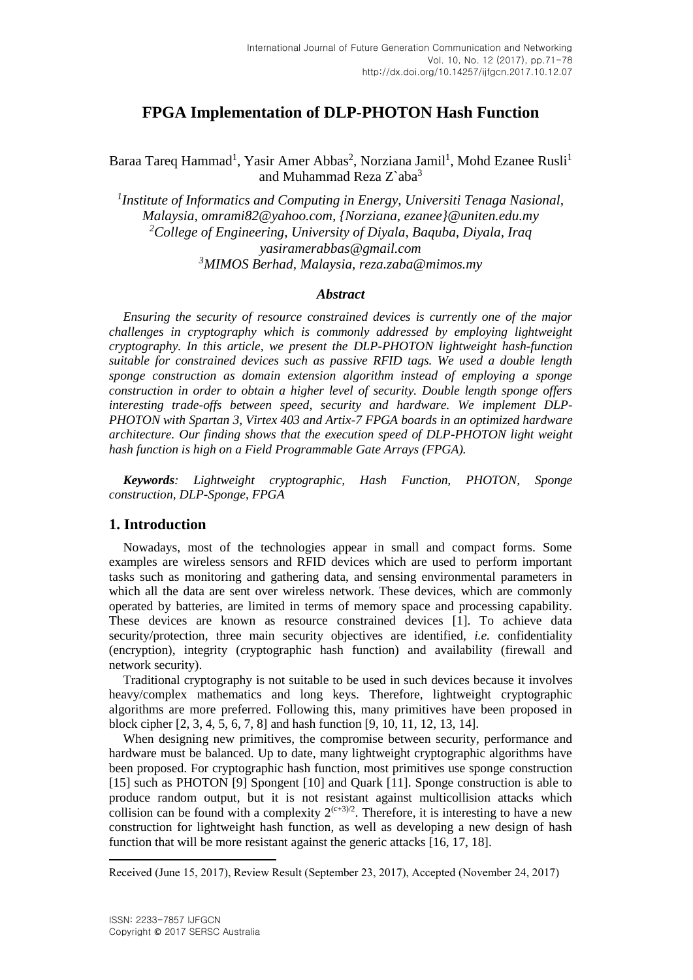# **FPGA Implementation of DLP-PHOTON Hash Function**

Baraa Tareq Hammad<sup>1</sup>, Yasir Amer Abbas<sup>2</sup>, Norziana Jamil<sup>1</sup>, Mohd Ezanee Rusli<sup>1</sup> and Muhammad Reza Z`aba<sup>3</sup>

*1 Institute of Informatics and Computing in Energy, Universiti Tenaga Nasional, Malaysia, omrami82@yahoo.com, {Norziana, ezane[e}@uniten.edu.my](mailto:Mdzain%7d@uniten.edu.my) <sup>2</sup>College of Engineering, University of Diyala, Baquba, Diyala, Iraq [yasiramerabbas@gmail.com](mailto:yasiramerabbas@gmail.com) <sup>3</sup>MIMOS Berhad, Malaysia, [reza.zaba@mimos.my](mailto:reza.zaba@mimos.my)*

#### *Abstract*

*Ensuring the security of resource constrained devices is currently one of the major challenges in cryptography which is commonly addressed by employing lightweight cryptography. In this article, we present the DLP-PHOTON lightweight hash-function suitable for constrained devices such as passive RFID tags. We used a double length sponge construction as domain extension algorithm instead of employing a sponge construction in order to obtain a higher level of security. Double length sponge offers interesting trade-offs between speed, security and hardware. We implement DLP-PHOTON with Spartan 3, Virtex 403 and Artix-7 FPGA boards in an optimized hardware architecture. Our finding shows that the execution speed of DLP-PHOTON light weight hash function is high on a Field Programmable Gate Arrays (FPGA).* 

*Keywords: Lightweight cryptographic, Hash Function, PHOTON, Sponge construction, DLP-Sponge, FPGA*

#### **1. Introduction**

Nowadays, most of the technologies appear in small and compact forms. Some examples are wireless sensors and RFID devices which are used to perform important tasks such as monitoring and gathering data, and sensing environmental parameters in which all the data are sent over wireless network. These devices, which are commonly operated by batteries, are limited in terms of memory space and processing capability. These devices are known as resource constrained devices [1]. To achieve data security/protection, three main security objectives are identified, *i.e.* confidentiality (encryption), integrity (cryptographic hash function) and availability (firewall and network security).

Traditional cryptography is not suitable to be used in such devices because it involves heavy/complex mathematics and long keys. Therefore, lightweight cryptographic algorithms are more preferred. Following this, many primitives have been proposed in block cipher [2, 3, 4, 5, 6, 7, 8] and hash function [9, 10, 11, 12, 13, 14].

When designing new primitives, the compromise between security, performance and hardware must be balanced. Up to date, many lightweight cryptographic algorithms have been proposed. For cryptographic hash function, most primitives use sponge construction [15] such as PHOTON [9] Spongent [10] and Quark [11]. Sponge construction is able to produce random output, but it is not resistant against multicollision attacks which collision can be found with a complexity  $2^{(c+3)/2}$ . Therefore, it is interesting to have a new construction for lightweight hash function, as well as developing a new design of hash function that will be more resistant against the generic attacks [16, 17, 18].

 $\ddot{\phantom{a}}$ 

Received (June 15, 2017), Review Result (September 23, 2017), Accepted (November 24, 2017)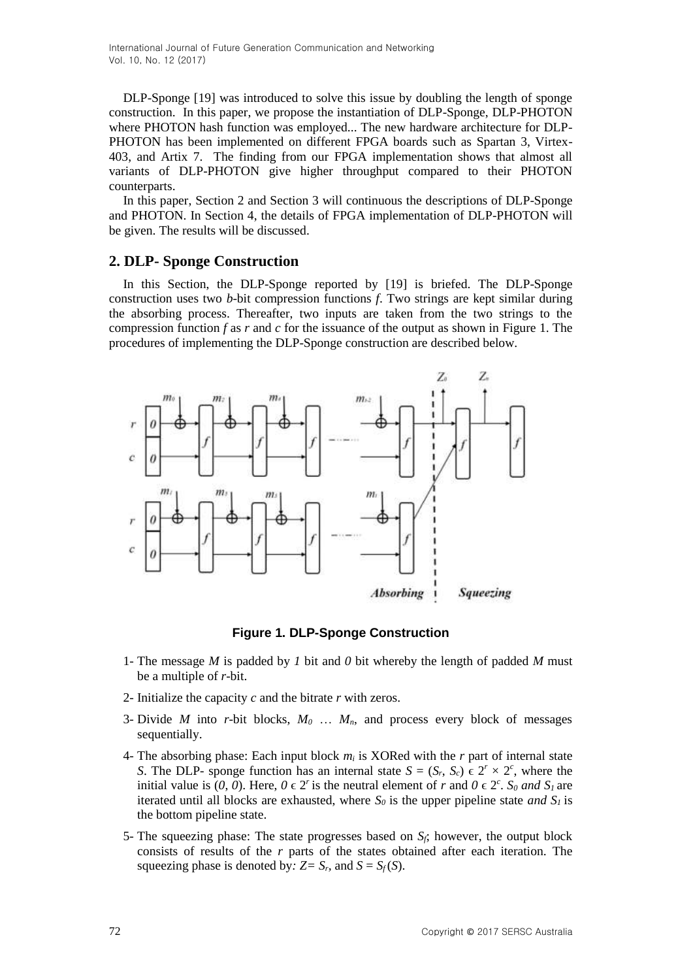International Journal of Future Generation Communication and Networking Vol. 10, No. 12 (2017)

DLP-Sponge [19] was introduced to solve this issue by doubling the length of sponge construction. In this paper, we propose the instantiation of DLP-Sponge, DLP-PHOTON where PHOTON hash function was employed... The new hardware architecture for DLP-PHOTON has been implemented on different FPGA boards such as Spartan 3, Virtex-403, and Artix 7. The finding from our FPGA implementation shows that almost all variants of DLP-PHOTON give higher throughput compared to their PHOTON counterparts.

In this paper, Section 2 and Section 3 will continuous the descriptions of DLP-Sponge and PHOTON. In Section 4, the details of FPGA implementation of DLP-PHOTON will be given. The results will be discussed.

#### **2. DLP- Sponge Construction**

In this Section, the DLP-Sponge reported by [19] is briefed. The DLP-Sponge construction uses two *b*-bit compression functions *f*. Two strings are kept similar during the absorbing process. Thereafter, two inputs are taken from the two strings to the compression function *f* as *r* and *c* for the issuance of the output as shown in Figure 1. The procedures of implementing the DLP-Sponge construction are described below.



**Figure 1. DLP-Sponge Construction**

- 1- The message *M* is padded by *1* bit and *0* bit whereby the length of padded *M* must be a multiple of *r*-bit.
- 2- Initialize the capacity *c* and the bitrate *r* with zeros.
- 3- Divide *M* into *r*-bit blocks,  $M_0$  ...  $M_n$ , and process every block of messages sequentially.
- 4- The absorbing phase: Each input block *m<sup>i</sup>* is XORed with the *r* part of internal state *S*. The DLP- sponge function has an internal state  $S = (S_r, S_c) \in 2^r \times 2^c$ , where the initial value is  $(0, 0)$ . Here,  $0 \in 2^r$  is the neutral element of *r* and  $0 \in 2^c$ . *S<sub>0</sub>* and *S<sub>1</sub>* are iterated until all blocks are exhausted, where *S<sup>0</sup>* is the upper pipeline state *and S1* is the bottom pipeline state.
- 5- The squeezing phase: The state progresses based on *Sf*; however, the output block consists of results of the *r* parts of the states obtained after each iteration. The squeezing phase is denoted by:  $Z = S_r$ , and  $S = S_f(S)$ .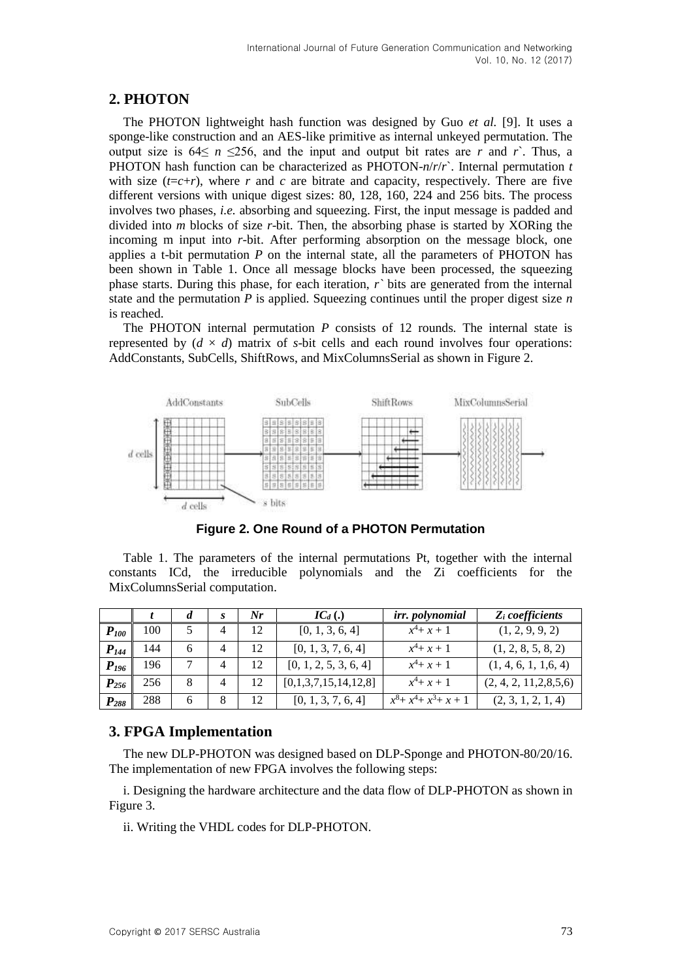# **2. PHOTON**

The PHOTON lightweight hash function was designed by Guo *et al.* [9]. It uses a sponge-like construction and an AES-like primitive as internal unkeyed permutation. The output size is  $64 \le n \le 256$ , and the input and output bit rates are *r* and *r*<sup>2</sup>. Thus, a PHOTON hash function can be characterized as PHOTON-*n*/*r*/*r*`. Internal permutation *t*  with size  $(t=c+r)$ , where *r* and *c* are bitrate and capacity, respectively. There are five different versions with unique digest sizes: 80, 128, 160, 224 and 256 bits. The process involves two phases, *i.e.* absorbing and squeezing. First, the input message is padded and divided into *m* blocks of size *r*-bit. Then, the absorbing phase is started by XORing the incoming m input into *r*-bit. After performing absorption on the message block, one applies a t-bit permutation *P* on the internal state, all the parameters of PHOTON has been shown in Table 1. Once all message blocks have been processed, the squeezing phase starts. During this phase, for each iteration, *r`* bits are generated from the internal state and the permutation *P* is applied. Squeezing continues until the proper digest size *n* is reached.

The PHOTON internal permutation *P* consists of 12 rounds. The internal state is represented by  $(d \times d)$  matrix of *s*-bit cells and each round involves four operations: AddConstants, SubCells, ShiftRows, and MixColumnsSerial as shown in Figure 2.



**Figure 2. One Round of a PHOTON Permutation**

Table 1. The parameters of the internal permutations Pt, together with the internal constants ICd, the irreducible polynomials and the Zi coefficients for the MixColumnsSerial computation.

|           |     |   | Nr | $IC_d(.)$             | irr. polynomial           | $Z_i$ coefficients        |
|-----------|-----|---|----|-----------------------|---------------------------|---------------------------|
| $P_{100}$ | 100 |   | 12 | [0, 1, 3, 6, 4]       | $x^4$ + x + 1             | (1, 2, 9, 9, 2)           |
| $P_{144}$ | 144 | 6 | 12 | [0, 1, 3, 7, 6, 4]    | $x^4$ + x + 1             | (1, 2, 8, 5, 8, 2)        |
| $P_{196}$ | 196 |   | 12 | [0, 1, 2, 5, 3, 6, 4] | $x^4$ + x + 1             | (1, 4, 6, 1, 1, 6, 4)     |
| $P_{256}$ | 256 | 8 | 12 | [0,1,3,7,15,14,12,8]  | $x^4$ + x + 1             | (2, 4, 2, 11, 2, 8, 5, 6) |
| $P_{288}$ | 288 | 6 | 12 | [0, 1, 3, 7, 6, 4]    | $x^8 + x^4 + x^3 + x + 1$ | (2, 3, 1, 2, 1, 4)        |

## **3. FPGA Implementation**

The new DLP-PHOTON was designed based on DLP-Sponge and PHOTON-80/20/16. The implementation of new FPGA involves the following steps:

i. Designing the hardware architecture and the data flow of DLP-PHOTON as shown in Figure 3.

ii. Writing the VHDL codes for DLP-PHOTON.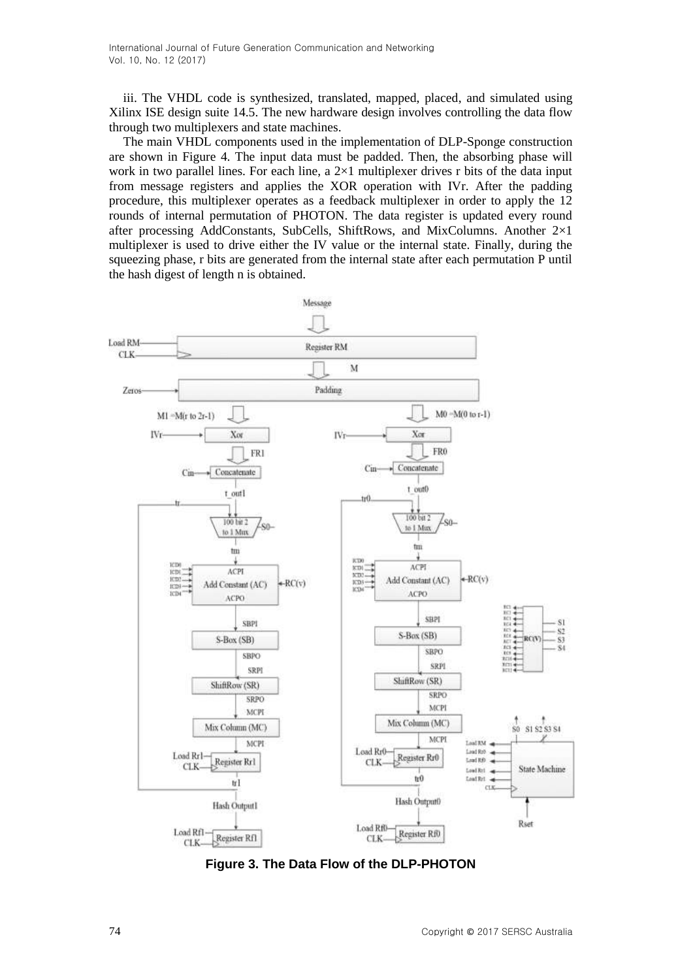iii. The VHDL code is synthesized, translated, mapped, placed, and simulated using Xilinx ISE design suite 14.5. The new hardware design involves controlling the data flow through two multiplexers and state machines.

The main VHDL components used in the implementation of DLP-Sponge construction are shown in Figure 4. The input data must be padded. Then, the absorbing phase will work in two parallel lines. For each line, a  $2\times1$  multiplexer drives r bits of the data input from message registers and applies the XOR operation with IVr. After the padding procedure, this multiplexer operates as a feedback multiplexer in order to apply the 12 rounds of internal permutation of PHOTON. The data register is updated every round after processing AddConstants, SubCells, ShiftRows, and MixColumns. Another 2×1 multiplexer is used to drive either the IV value or the internal state. Finally, during the squeezing phase, r bits are generated from the internal state after each permutation P until the hash digest of length n is obtained.



**Figure 3. The Data Flow of the DLP-PHOTON**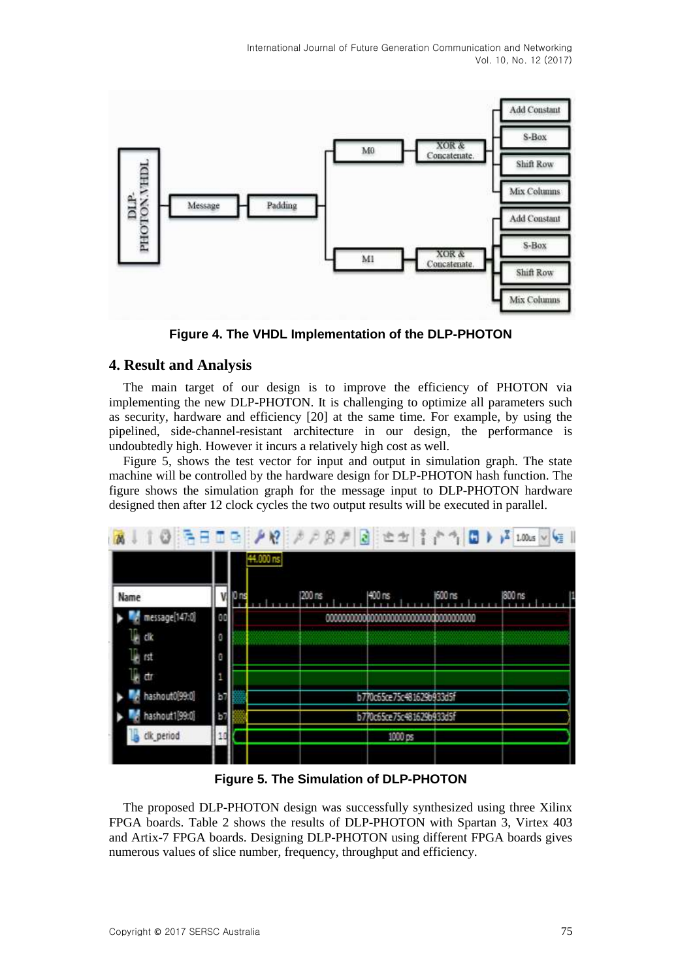

**Figure 4. The VHDL Implementation of the DLP-PHOTON**

#### **4. Result and Analysis**

The main target of our design is to improve the efficiency of PHOTON via implementing the new DLP-PHOTON. It is challenging to optimize all parameters such as security, hardware and efficiency [20] at the same time. For example, by using the pipelined, side-channel-resistant architecture in our design, the performance is undoubtedly high. However it incurs a relatively high cost as well.

Figure 5, shows the test vector for input and output in simulation graph. The state machine will be controlled by the hardware design for DLP-PHOTON hash function. The figure shows the simulation graph for the message input to DLP-PHOTON hardware designed then after 12 clock cycles the two output results will be executed in parallel.

|                | 3800 10 10 3 3 3 3 4 4 1 6 1 8<br>χZ<br>$1.00$ us $ v $<br>44.000 ns |    |  |         |  |                           |         |         |  |
|----------------|----------------------------------------------------------------------|----|--|---------|--|---------------------------|---------|---------|--|
| Name           |                                                                      | ns |  | 1200 ns |  | 1400 ns                   | 1600 ns | (800 ns |  |
| message[147:0] | 88                                                                   |    |  |         |  |                           |         |         |  |
| H<br>ďk        | O                                                                    |    |  |         |  |                           |         |         |  |
| B<br>ïst       | O                                                                    |    |  |         |  |                           |         |         |  |
| í,<br>đī       | 1                                                                    |    |  |         |  |                           |         |         |  |
| hashout0(99:0) | b7                                                                   |    |  |         |  | b770c65ce75c481629b933d5f |         |         |  |
| hashout1[99:0] | 昏                                                                    |    |  |         |  | b770c65ce75c481629b933d5f |         |         |  |
| clk_period     | 10                                                                   |    |  |         |  | 1000 ps                   |         |         |  |
|                |                                                                      |    |  |         |  |                           |         |         |  |

**Figure 5. The Simulation of DLP-PHOTON**

The proposed DLP-PHOTON design was successfully synthesized using three Xilinx FPGA boards. Table 2 shows the results of DLP-PHOTON with Spartan 3, Virtex 403 and Artix-7 FPGA boards. Designing DLP-PHOTON using different FPGA boards gives numerous values of slice number, frequency, throughput and efficiency.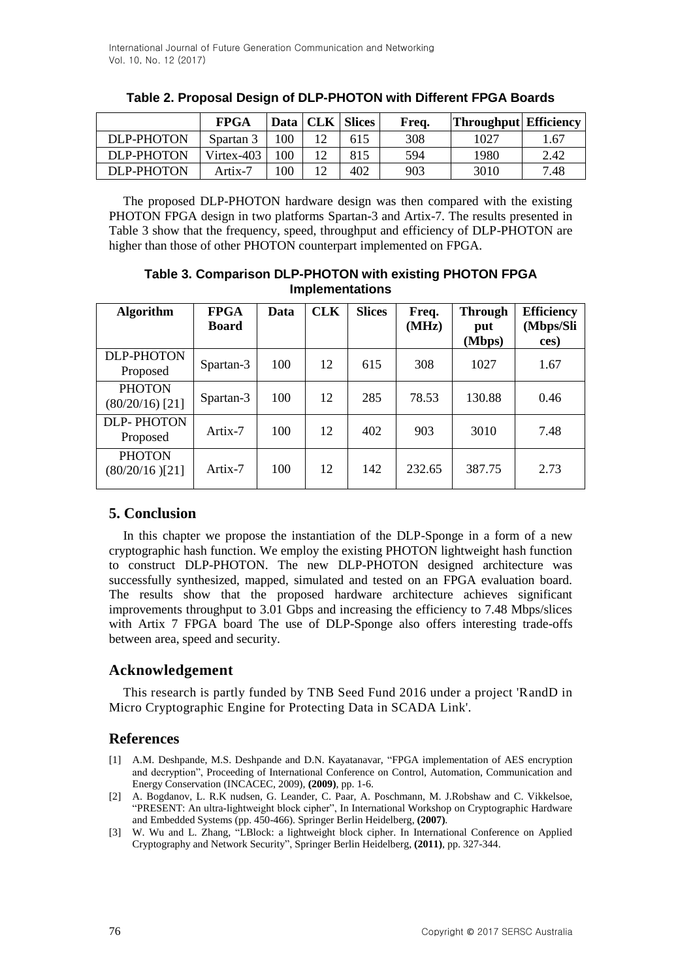|            | <b>FPGA</b> |     | Data   CLK   Slices | Freq. | <b>Throughput</b> Efficiency |      |
|------------|-------------|-----|---------------------|-------|------------------------------|------|
| DLP-PHOTON | Spartan 3   | 100 | 615                 | 308   | 1027                         | 1.67 |
| DLP-PHOTON | Virtex-403  | 100 | 815                 | 594   | 1980                         | 2.42 |
| DLP-PHOTON | Artix-7     | 100 | 402                 | 903   | 3010                         | 7.48 |

|  |  |  | Table 2. Proposal Design of DLP-PHOTON with Different FPGA Boards |
|--|--|--|-------------------------------------------------------------------|
|--|--|--|-------------------------------------------------------------------|

The proposed DLP-PHOTON hardware design was then compared with the existing PHOTON FPGA design in two platforms Spartan-3 and Artix-7. The results presented in Table 3 show that the frequency, speed, throughput and efficiency of DLP-PHOTON are higher than those of other PHOTON counterpart implemented on FPGA.

**Table 3. Comparison DLP-PHOTON with existing PHOTON FPGA Implementations**

| <b>Algorithm</b>                   | <b>FPGA</b><br><b>Board</b> | Data | <b>CLK</b> | <b>Slices</b> | Freq.<br>(MHz) | <b>Through</b><br>put<br>(Mbps) | <b>Efficiency</b><br>(Mbps/Sli<br>ces) |
|------------------------------------|-----------------------------|------|------------|---------------|----------------|---------------------------------|----------------------------------------|
| <b>DLP-PHOTON</b><br>Proposed      | Spartan-3                   | 100  | 12         | 615           | 308            | 1027                            | 1.67                                   |
| <b>PHOTON</b><br>$(80/20/16)$ [21] | Spartan-3                   | 100  | 12         | 285           | 78.53          | 130.88                          | 0.46                                   |
| <b>DLP-PHOTON</b><br>Proposed      | Artix-7                     | 100  | 12         | 402           | 903            | 3010                            | 7.48                                   |
| <b>PHOTON</b><br>$(80/20/16)$ [21] | Artix-7                     | 100  | 12         | 142           | 232.65         | 387.75                          | 2.73                                   |

## **5. Conclusion**

In this chapter we propose the instantiation of the DLP-Sponge in a form of a new cryptographic hash function. We employ the existing PHOTON lightweight hash function to construct DLP-PHOTON. The new DLP-PHOTON designed architecture was successfully synthesized, mapped, simulated and tested on an FPGA evaluation board. The results show that the proposed hardware architecture achieves significant improvements throughput to 3.01 Gbps and increasing the efficiency to 7.48 Mbps/slices with Artix 7 FPGA board The use of DLP-Sponge also offers interesting trade-offs between area, speed and security.

## **Acknowledgement**

This research is partly funded by TNB Seed Fund 2016 under a project 'RandD in Micro Cryptographic Engine for Protecting Data in SCADA Link'.

## **References**

- [1] A.M. Deshpande, M.S. Deshpande and D.N. Kayatanavar, "FPGA implementation of AES encryption and decryption", Proceeding of International Conference on Control, Automation, Communication and Energy Conservation (INCACEC, 2009), **(2009)**, pp. 1-6.
- [2] A. Bogdanov, L. R.K nudsen, G. Leander, C. Paar, A. Poschmann, M. J.Robshaw and C. Vikkelsoe, "PRESENT: An ultra-lightweight block cipher", In International Workshop on Cryptographic Hardware and Embedded Systems (pp. 450-466). Springer Berlin Heidelberg, **(2007)**.
- [3] W. Wu and L. Zhang, "LBlock: a lightweight block cipher. In International Conference on Applied Cryptography and Network Security", Springer Berlin Heidelberg, **(2011)**, pp. 327-344.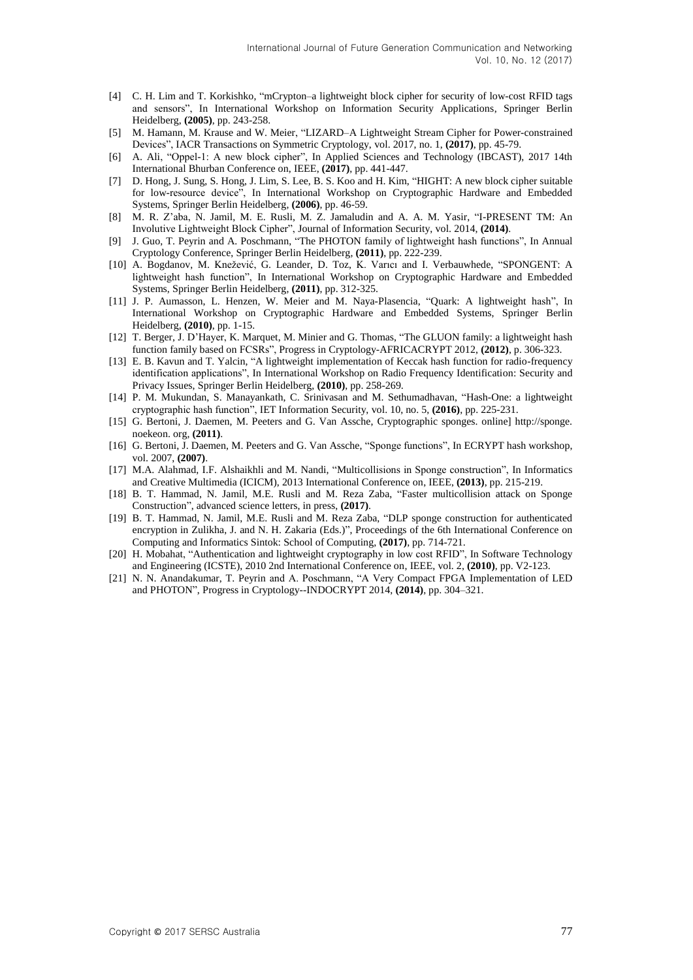- [4] C. H. Lim and T. Korkishko, "mCrypton–a lightweight block cipher for security of low-cost RFID tags and sensors", In International Workshop on Information Security Applications, Springer Berlin Heidelberg, **(2005)**, pp. 243-258.
- [5] M. Hamann, M. Krause and W. Meier, "LIZARD–A Lightweight Stream Cipher for Power-constrained Devices", IACR Transactions on Symmetric Cryptology, vol. 2017, no. 1, **(2017)**, pp. 45-79.
- [6] A. Ali, "Oppel-1: A new block cipher", In Applied Sciences and Technology (IBCAST), 2017 14th International Bhurban Conference on, IEEE, **(2017)**, pp. 441-447.
- [7] D. Hong, J. Sung, S. Hong, J. Lim, S. Lee, B. S. Koo and H. Kim, "HIGHT: A new block cipher suitable for low-resource device", In International Workshop on Cryptographic Hardware and Embedded Systems, Springer Berlin Heidelberg, **(2006)**, pp. 46-59.
- [8] M. R. Z'aba, N. Jamil, M. E. Rusli, M. Z. Jamaludin and A. A. M. Yasir, "I-PRESENT TM: An Involutive Lightweight Block Cipher", Journal of Information Security, vol. 2014, **(2014)**.
- [9] J. Guo, T. Peyrin and A. Poschmann, "The PHOTON family of lightweight hash functions", In Annual Cryptology Conference, Springer Berlin Heidelberg, **(2011)**, pp. 222-239.
- [10] A. Bogdanov, M. Knežević, G. Leander, D. Toz, K. Varıcı and I. Verbauwhede, "SPONGENT: A lightweight hash function", In International Workshop on Cryptographic Hardware and Embedded Systems, Springer Berlin Heidelberg, **(2011)**, pp. 312-325.
- [11] J. P. Aumasson, L. Henzen, W. Meier and M. Naya-Plasencia, "Quark: A lightweight hash", In International Workshop on Cryptographic Hardware and Embedded Systems, Springer Berlin Heidelberg, **(2010)**, pp. 1-15.
- [12] T. Berger, J. D'Hayer, K. Marquet, M. Minier and G. Thomas, "The GLUON family: a lightweight hash function family based on FCSRs", Progress in Cryptology-AFRICACRYPT 2012, **(2012)**, p. 306-323.
- [13] E. B. Kavun and T. Yalcin, "A lightweight implementation of Keccak hash function for radio-frequency identification applications", In International Workshop on Radio Frequency Identification: Security and Privacy Issues, Springer Berlin Heidelberg, **(2010)**, pp. 258-269.
- [14] P. M. Mukundan, S. Manayankath, C. Srinivasan and M. Sethumadhavan, "Hash-One: a lightweight cryptographic hash function", IET Information Security, vol. 10, no. 5, **(2016)**, pp. 225-231.
- [15] G. Bertoni, J. Daemen, M. Peeters and G. Van Assche, Cryptographic sponges. online] http://sponge. noekeon. org, **(2011)**.
- [16] G. Bertoni, J. Daemen, M. Peeters and G. Van Assche, "Sponge functions", In ECRYPT hash workshop, vol. 2007, **(2007)**.
- [17] M.A. Alahmad, I.F. Alshaikhli and M. Nandi, "Multicollisions in Sponge construction", In Informatics and Creative Multimedia (ICICM), 2013 International Conference on, IEEE, **(2013)**, pp. 215-219.
- [18] B. T. Hammad, N. Jamil, M.E. Rusli and M. Reza Zaba, "Faster multicollision attack on Sponge Construction", advanced science letters, in press, **(2017)**.
- [19] B. T. Hammad, N. Jamil, M.E. Rusli and M. Reza Zaba, "DLP sponge construction for authenticated encryption in Zulikha, J. and N. H. Zakaria (Eds.)", Proceedings of the 6th International Conference on Computing and Informatics Sintok: School of Computing, **(2017)**, pp. 714-721.
- [20] H. Mobahat, "Authentication and lightweight cryptography in low cost RFID", In Software Technology and Engineering (ICSTE), 2010 2nd International Conference on, IEEE, vol. 2, **(2010)**, pp. V2-123.
- [21] N. N. Anandakumar, T. Peyrin and A. Poschmann, "A Very Compact FPGA Implementation of LED and PHOTON", Progress in Cryptology--INDOCRYPT 2014, **(2014)**, pp. 304–321.